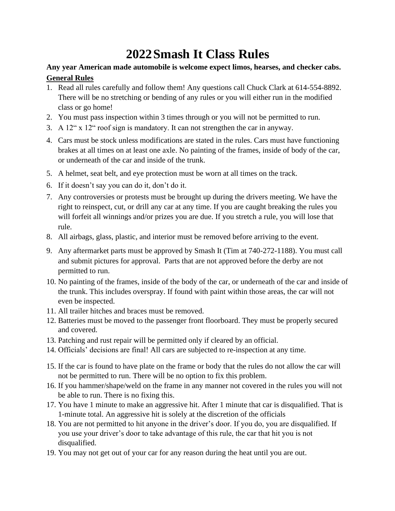# **2022Smash It Class Rules**

#### **Any year American made automobile is welcome expect limos, hearses, and checker cabs. General Rules**

- 1. Read all rules carefully and follow them! Any questions call Chuck Clark at 614-554-8892. There will be no stretching or bending of any rules or you will either run in the modified class or go home!
- 2. You must pass inspection within 3 times through or you will not be permitted to run.
- 3. A 12" x 12" roof sign is mandatory. It can not strengthen the car in anyway.
- 4. Cars must be stock unless modifications are stated in the rules. Cars must have functioning brakes at all times on at least one axle. No painting of the frames, inside of body of the car, or underneath of the car and inside of the trunk.
- 5. A helmet, seat belt, and eye protection must be worn at all times on the track.
- 6. If it doesn't say you can do it, don't do it.
- 7. Any controversies or protests must be brought up during the drivers meeting. We have the right to reinspect, cut, or drill any car at any time. If you are caught breaking the rules you will forfeit all winnings and/or prizes you are due. If you stretch a rule, you will lose that rule.
- 8. All airbags, glass, plastic, and interior must be removed before arriving to the event.
- 9. Any aftermarket parts must be approved by Smash It (Tim at 740-272-1188). You must call and submit pictures for approval. Parts that are not approved before the derby are not permitted to run.
- 10. No painting of the frames, inside of the body of the car, or underneath of the car and inside of the trunk. This includes overspray. If found with paint within those areas, the car will not even be inspected.
- 11. All trailer hitches and braces must be removed.
- 12. Batteries must be moved to the passenger front floorboard. They must be properly secured and covered.
- 13. Patching and rust repair will be permitted only if cleared by an official.
- 14. Officials' decisions are final! All cars are subjected to re-inspection at any time.
- 15. If the car is found to have plate on the frame or body that the rules do not allow the car will not be permitted to run. There will be no option to fix this problem.
- 16. If you hammer/shape/weld on the frame in any manner not covered in the rules you will not be able to run. There is no fixing this.
- 17. You have 1 minute to make an aggressive hit. After 1 minute that car is disqualified. That is 1-minute total. An aggressive hit is solely at the discretion of the officials
- 18. You are not permitted to hit anyone in the driver's door. If you do, you are disqualified. If you use your driver's door to take advantage of this rule, the car that hit you is not disqualified.
- 19. You may not get out of your car for any reason during the heat until you are out.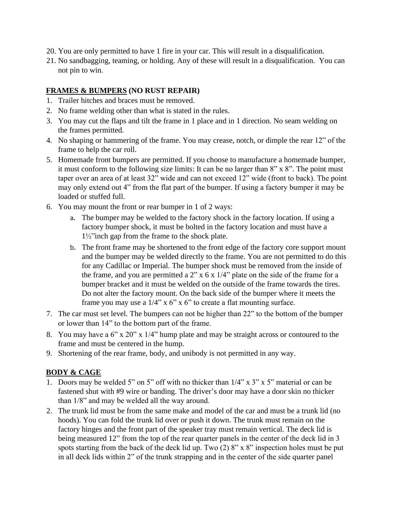- 20. You are only permitted to have 1 fire in your car. This will result in a disqualification.
- 21. No sandbagging, teaming, or holding. Any of these will result in a disqualification. You can not pin to win.

#### **FRAMES & BUMPERS (NO RUST REPAIR)**

- 1. Trailer hitches and braces must be removed.
- 2. No frame welding other than what is stated in the rules.
- 3. You may cut the flaps and tilt the frame in 1 place and in 1 direction. No seam welding on the frames permitted.
- 4. No shaping or hammering of the frame. You may crease, notch, or dimple the rear 12" of the frame to help the car roll.
- 5. Homemade front bumpers are permitted. If you choose to manufacture a homemade bumper, it must conform to the following size limits: It can be no larger than 8" x 8". The point must taper over an area of at least 32" wide and can not exceed 12" wide (front to back). The point may only extend out 4" from the flat part of the bumper. If using a factory bumper it may be loaded or stuffed full.
- 6. You may mount the front or rear bumper in 1 of 2 ways:
	- a. The bumper may be welded to the factory shock in the factory location. If using a factory bumper shock, it must be bolted in the factory location and must have a 1½"inch gap from the frame to the shock plate.
	- b. The front frame may be shortened to the front edge of the factory core support mount and the bumper may be welded directly to the frame. You are not permitted to do this for any Cadillac or Imperial. The bumper shock must be removed from the inside of the frame, and you are permitted a  $2$ " x 6 x  $1/4$ " plate on the side of the frame for a bumper bracket and it must be welded on the outside of the frame towards the tires. Do not alter the factory mount. On the back side of the bumper where it meets the frame you may use a  $1/4$ " x 6" x 6" to create a flat mounting surface.
- 7. The car must set level. The bumpers can not be higher than 22" to the bottom of the bumper or lower than 14" to the bottom part of the frame.
- 8. You may have a 6" x 20" x 1/4" hump plate and may be straight across or contoured to the frame and must be centered in the hump.
- 9. Shortening of the rear frame, body, and unibody is not permitted in any way.

#### **BODY & CAGE**

- 1. Doors may be welded 5" on 5" off with no thicker than 1/4" x 3" x 5" material or can be fastened shut with #9 wire or banding. The driver's door may have a door skin no thicker than 1/8" and may be welded all the way around.
- 2. The trunk lid must be from the same make and model of the car and must be a trunk lid (no hoods). You can fold the trunk lid over or push it down. The trunk must remain on the factory hinges and the front part of the speaker tray must remain vertical. The deck lid is being measured 12" from the top of the rear quarter panels in the center of the deck lid in 3 spots starting from the back of the deck lid up. Two (2) 8" x 8" inspection holes must be put in all deck lids within 2" of the trunk strapping and in the center of the side quarter panel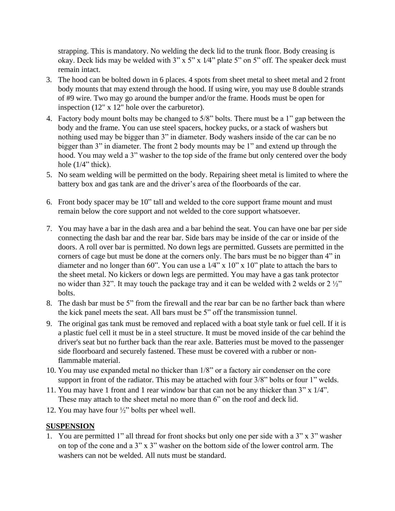strapping. This is mandatory. No welding the deck lid to the trunk floor. Body creasing is okay. Deck lids may be welded with  $3$ " x  $5$ " x  $1/4$ " plate  $5$ " on  $5$ " off. The speaker deck must remain intact.

- 3. The hood can be bolted down in 6 places. 4 spots from sheet metal to sheet metal and 2 front body mounts that may extend through the hood. If using wire, you may use 8 double strands of #9 wire. Two may go around the bumper and/or the frame. Hoods must be open for inspection (12" x 12" hole over the carburetor).
- 4. Factory body mount bolts may be changed to 5/8" bolts. There must be a 1" gap between the body and the frame. You can use steel spacers, hockey pucks, or a stack of washers but nothing used may be bigger than 3" in diameter. Body washers inside of the car can be no bigger than 3" in diameter. The front 2 body mounts may be 1" and extend up through the hood. You may weld a 3" washer to the top side of the frame but only centered over the body hole  $(1/4$ " thick).
- 5. No seam welding will be permitted on the body. Repairing sheet metal is limited to where the battery box and gas tank are and the driver's area of the floorboards of the car.
- 6. Front body spacer may be 10" tall and welded to the core support frame mount and must remain below the core support and not welded to the core support whatsoever.
- 7. You may have a bar in the dash area and a bar behind the seat. You can have one bar per side connecting the dash bar and the rear bar. Side bars may be inside of the car or inside of the doors. A roll over bar is permitted. No down legs are permitted. Gussets are permitted in the corners of cage but must be done at the corners only. The bars must be no bigger than 4" in diameter and no longer than 60". You can use a  $1/4$ " x  $10$ " x  $10$ " plate to attach the bars to the sheet metal. No kickers or down legs are permitted. You may have a gas tank protector no wider than 32". It may touch the package tray and it can be welded with 2 welds or  $2\frac{1}{2}$ " bolts.
- 8. The dash bar must be 5" from the firewall and the rear bar can be no farther back than where the kick panel meets the seat. All bars must be 5" off the transmission tunnel.
- 9. The original gas tank must be removed and replaced with a boat style tank or fuel cell. If it is a plastic fuel cell it must be in a steel structure. It must be moved inside of the car behind the driver's seat but no further back than the rear axle. Batteries must be moved to the passenger side floorboard and securely fastened. These must be covered with a rubber or nonflammable material.
- 10. You may use expanded metal no thicker than 1/8" or a factory air condenser on the core support in front of the radiator. This may be attached with four 3/8" bolts or four 1" welds.
- 11. You may have 1 front and 1 rear window bar that can not be any thicker than 3" x 1/4". These may attach to the sheet metal no more than 6" on the roof and deck lid.
- 12. You may have four ½" bolts per wheel well.

#### **SUSPENSION**

1. You are permitted 1" all thread for front shocks but only one per side with a 3" x 3" washer on top of the cone and a 3" x 3" washer on the bottom side of the lower control arm. The washers can not be welded. All nuts must be standard.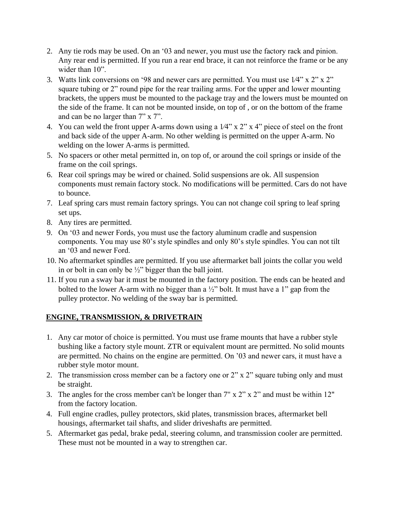- 2. Any tie rods may be used. On an '03 and newer, you must use the factory rack and pinion. Any rear end is permitted. If you run a rear end brace, it can not reinforce the frame or be any wider than  $10$ ".
- 3. Watts link conversions on '98 and newer cars are permitted. You must use 1⁄4" x 2" x 2" square tubing or 2" round pipe for the rear trailing arms. For the upper and lower mounting brackets, the uppers must be mounted to the package tray and the lowers must be mounted on the side of the frame. It can not be mounted inside, on top of , or on the bottom of the frame and can be no larger than 7" x 7".
- 4. You can weld the front upper A-arms down using a 1⁄4" x 2" x 4" piece of steel on the front and back side of the upper A-arm. No other welding is permitted on the upper A-arm. No welding on the lower A-arms is permitted.
- 5. No spacers or other metal permitted in, on top of, or around the coil springs or inside of the frame on the coil springs.
- 6. Rear coil springs may be wired or chained. Solid suspensions are ok. All suspension components must remain factory stock. No modifications will be permitted. Cars do not have to bounce.
- 7. Leaf spring cars must remain factory springs. You can not change coil spring to leaf spring set ups.
- 8. Any tires are permitted.
- 9. On '03 and newer Fords, you must use the factory aluminum cradle and suspension components. You may use 80's style spindles and only 80's style spindles. You can not tilt an '03 and newer Ford.
- 10. No aftermarket spindles are permitted. If you use aftermarket ball joints the collar you weld in or bolt in can only be  $\frac{1}{2}$ " bigger than the ball joint.
- 11. If you run a sway bar it must be mounted in the factory position. The ends can be heated and bolted to the lower A-arm with no bigger than a ½" bolt. It must have a 1" gap from the pulley protector. No welding of the sway bar is permitted.

## **ENGINE, TRANSMISSION, & DRIVETRAIN**

- 1. Any car motor of choice is permitted. You must use frame mounts that have a rubber style bushing like a factory style mount. ZTR or equivalent mount are permitted. No solid mounts are permitted. No chains on the engine are permitted. On '03 and newer cars, it must have a rubber style motor mount.
- 2. The transmission cross member can be a factory one or 2" x 2" square tubing only and must be straight.
- 3. The angles for the cross member can't be longer than 7" x 2" x 2" and must be within 12" from the factory location.
- 4. Full engine cradles, pulley protectors, skid plates, transmission braces, aftermarket bell housings, aftermarket tail shafts, and slider driveshafts are permitted.
- 5. Aftermarket gas pedal, brake pedal, steering column, and transmission cooler are permitted. These must not be mounted in a way to strengthen car.